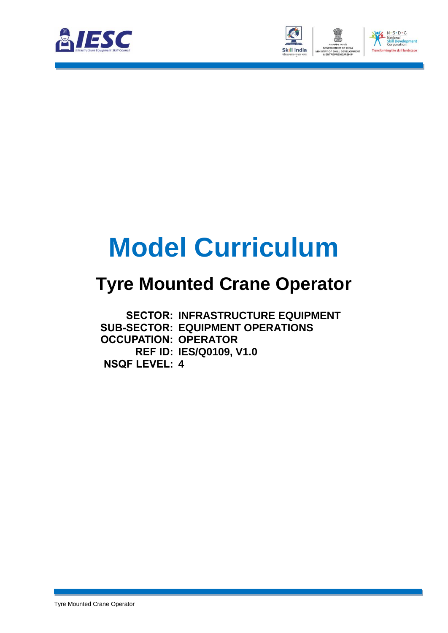



# **Model Curriculum**

### **Tyre Mounted Crane Operator**

**SECTOR: INFRASTRUCTURE EQUIPMENT SUB-SECTOR: EQUIPMENT OPERATIONS OCCUPATION: OPERATOR REF ID: IES/Q0109, V1.0 NSQF LEVEL: 4**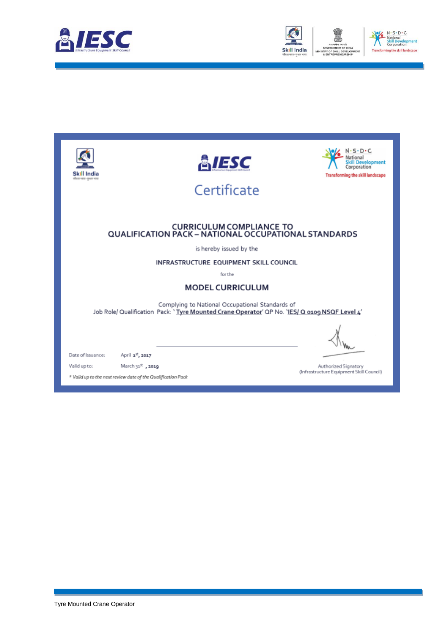



| Skill India<br>कीकार भारत-कुश्चार भारत | <b>ENESC</b><br>Certificate                                                                                                                      | .s.p.c<br>Develooment<br>Corporation<br><b>Transforming the skill landscape</b> |  |
|----------------------------------------|--------------------------------------------------------------------------------------------------------------------------------------------------|---------------------------------------------------------------------------------|--|
|                                        | <b>CURRICULUM COMPLIANCE TO</b><br>QUALIFICATION PACK - NATIONAL OCCUPATIONAL STANDARDS                                                          |                                                                                 |  |
|                                        | is hereby issued by the                                                                                                                          |                                                                                 |  |
| INFRASTRUCTURE EQUIPMENT SKILL COUNCIL |                                                                                                                                                  |                                                                                 |  |
| for the                                |                                                                                                                                                  |                                                                                 |  |
| <b>MODEL CURRICULUM</b>                |                                                                                                                                                  |                                                                                 |  |
|                                        | Complying to National Occupational Standards of<br>Job Role/ Qualification Pack: 'Tyre Mounted Crane Operator' QP No. 'IES/ Q 0109 NSQF Level 4' |                                                                                 |  |
|                                        |                                                                                                                                                  |                                                                                 |  |
| Date of Issuance:                      | April 1st, 2017                                                                                                                                  |                                                                                 |  |
| Valid up to:                           | March 31 <sup>%</sup> , 2019                                                                                                                     | Authorized Signatory<br>(Infrastructure Equipment Skill Council)                |  |
|                                        | * Valid up to the next review date of the Qualification Pack                                                                                     |                                                                                 |  |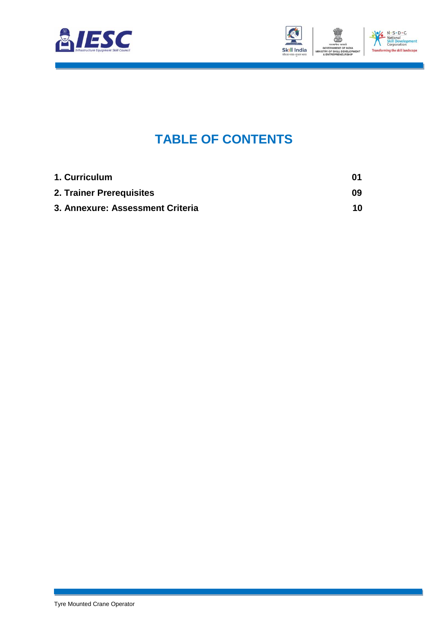



### **TABLE OF CONTENTS**

<span id="page-2-2"></span><span id="page-2-1"></span><span id="page-2-0"></span>

| 1. Curriculum                    | 01 |
|----------------------------------|----|
| 2. Trainer Prerequisites         | 09 |
| 3. Annexure: Assessment Criteria | 10 |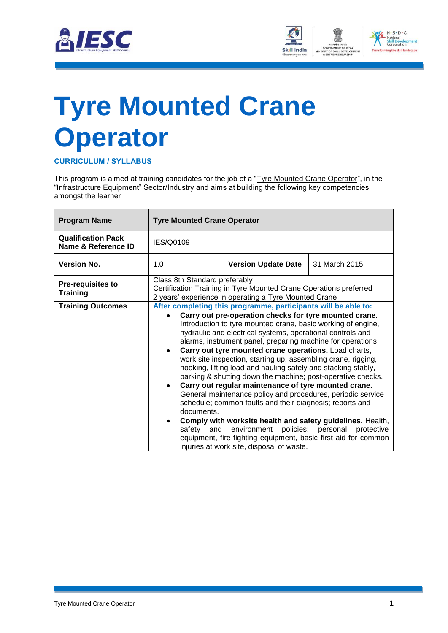



## <span id="page-3-0"></span>**Tyre [Mounted Crane](#page-2-0) [Operator](#page-2-0)**

**CURRICULUM / SYLLABUS**

This program is aimed at training candidates for the job of a "Tyre Mounted Crane Operator", in the "Infrastructure Equipment" Sector/Industry and aims at building the following key competencies amongst the learner

| <b>Program Name</b>                              | <b>Tyre Mounted Crane Operator</b>                                                                                                                                                                                                                                                                                                                                                                                                                                                                                                                                                                                                                                                                                                                                                                                                                                                                                                                                                                                                                                                   |                                                                   |               |
|--------------------------------------------------|--------------------------------------------------------------------------------------------------------------------------------------------------------------------------------------------------------------------------------------------------------------------------------------------------------------------------------------------------------------------------------------------------------------------------------------------------------------------------------------------------------------------------------------------------------------------------------------------------------------------------------------------------------------------------------------------------------------------------------------------------------------------------------------------------------------------------------------------------------------------------------------------------------------------------------------------------------------------------------------------------------------------------------------------------------------------------------------|-------------------------------------------------------------------|---------------|
| <b>Qualification Pack</b><br>Name & Reference ID | IES/Q0109                                                                                                                                                                                                                                                                                                                                                                                                                                                                                                                                                                                                                                                                                                                                                                                                                                                                                                                                                                                                                                                                            |                                                                   |               |
| <b>Version No.</b>                               | 1.0                                                                                                                                                                                                                                                                                                                                                                                                                                                                                                                                                                                                                                                                                                                                                                                                                                                                                                                                                                                                                                                                                  | <b>Version Update Date</b>                                        | 31 March 2015 |
| <b>Pre-requisites to</b><br><b>Training</b>      | Class 8th Standard preferably                                                                                                                                                                                                                                                                                                                                                                                                                                                                                                                                                                                                                                                                                                                                                                                                                                                                                                                                                                                                                                                        | Certification Training in Tyre Mounted Crane Operations preferred |               |
| <b>Training Outcomes</b>                         | 2 years' experience in operating a Tyre Mounted Crane<br>After completing this programme, participants will be able to:<br>Carry out pre-operation checks for tyre mounted crane.<br>Introduction to tyre mounted crane, basic working of engine,<br>hydraulic and electrical systems, operational controls and<br>alarms, instrument panel, preparing machine for operations.<br>Carry out tyre mounted crane operations. Load charts,<br>$\bullet$<br>work site inspection, starting up, assembling crane, rigging,<br>hooking, lifting load and hauling safely and stacking stably,<br>parking & shutting down the machine; post-operative checks.<br>Carry out regular maintenance of tyre mounted crane.<br>$\bullet$<br>General maintenance policy and procedures, periodic service<br>schedule; common faults and their diagnosis; reports and<br>documents.<br>Comply with worksite health and safety guidelines. Health,<br>$\bullet$<br>environment<br>policies; personal<br>safety<br>and<br>protective<br>equipment, fire-fighting equipment, basic first aid for common |                                                                   |               |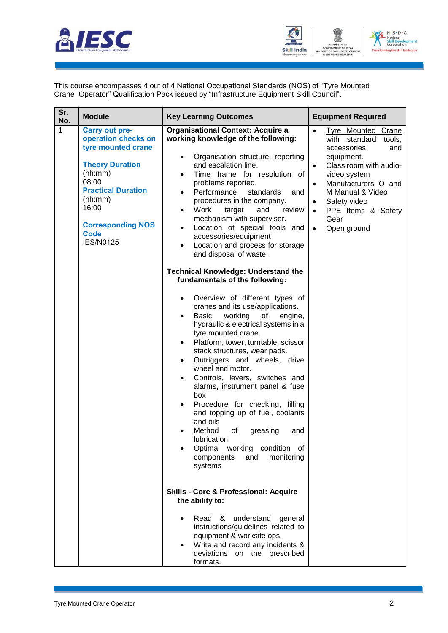



This course encompasses 4 out of 4 National Occupational Standards (NOS) of "Tyre Mounted Crane Operator" Qualification Pack issued by "Infrastructure Equipment Skill Council".

| Sr.<br>No. | <b>Module</b>                                                                                                                                                                                                                    | <b>Key Learning Outcomes</b>                                                                                                                                                                                                                                                                                                                                                                                                                                                                                                                                                                                                                                                                                                                                                                                                                                                                                                                                                                                                                                                                                                                                                                                                                                                 | <b>Equipment Required</b>                                                                                                                                                                                                                                                                                         |
|------------|----------------------------------------------------------------------------------------------------------------------------------------------------------------------------------------------------------------------------------|------------------------------------------------------------------------------------------------------------------------------------------------------------------------------------------------------------------------------------------------------------------------------------------------------------------------------------------------------------------------------------------------------------------------------------------------------------------------------------------------------------------------------------------------------------------------------------------------------------------------------------------------------------------------------------------------------------------------------------------------------------------------------------------------------------------------------------------------------------------------------------------------------------------------------------------------------------------------------------------------------------------------------------------------------------------------------------------------------------------------------------------------------------------------------------------------------------------------------------------------------------------------------|-------------------------------------------------------------------------------------------------------------------------------------------------------------------------------------------------------------------------------------------------------------------------------------------------------------------|
| 1          | <b>Carry out pre-</b><br>operation checks on<br>tyre mounted crane<br><b>Theory Duration</b><br>(hh:mm)<br>08:00<br><b>Practical Duration</b><br>(hh:mm)<br>16:00<br><b>Corresponding NOS</b><br><b>Code</b><br><b>IES/N0125</b> | <b>Organisational Context: Acquire a</b><br>working knowledge of the following:<br>Organisation structure, reporting<br>and escalation line.<br>Time frame for resolution of<br>$\bullet$<br>problems reported.<br>Performance<br>standards<br>and<br>$\bullet$<br>procedures in the company.<br>Work<br>target<br>and<br>review<br>$\bullet$<br>mechanism with supervisor.<br>Location of special tools and<br>$\bullet$<br>accessories/equipment<br>Location and process for storage<br>$\bullet$<br>and disposal of waste.<br><b>Technical Knowledge: Understand the</b><br>fundamentals of the following:<br>Overview of different types of<br>$\bullet$<br>cranes and its use/applications.<br><b>Basic</b><br>working<br>of<br>engine,<br>$\bullet$<br>hydraulic & electrical systems in a<br>tyre mounted crane.<br>Platform, tower, turntable, scissor<br>$\bullet$<br>stack structures, wear pads.<br>Outriggers and wheels, drive<br>$\bullet$<br>wheel and motor.<br>Controls, levers, switches and<br>alarms, instrument panel & fuse<br>box<br>Procedure for checking, filling<br>and topping up of fuel, coolants<br>and oils<br>Method<br>of<br>greasing<br>and<br>lubrication.<br>Optimal working condition of<br>components<br>and<br>monitoring<br>systems | $\bullet$<br>Tyre Mounted Crane<br>with standard<br>tools,<br>accessories<br>and<br>equipment.<br>Class room with audio-<br>$\bullet$<br>video system<br>Manufacturers O and<br>$\bullet$<br>M Manual & Video<br>Safety video<br>$\bullet$<br>PPE Items & Safety<br>$\bullet$<br>Gear<br>Open ground<br>$\bullet$ |
|            |                                                                                                                                                                                                                                  | <b>Skills - Core &amp; Professional: Acquire</b><br>the ability to:                                                                                                                                                                                                                                                                                                                                                                                                                                                                                                                                                                                                                                                                                                                                                                                                                                                                                                                                                                                                                                                                                                                                                                                                          |                                                                                                                                                                                                                                                                                                                   |
|            |                                                                                                                                                                                                                                  | Read<br>- &<br>understand<br>general<br>instructions/guidelines related to<br>equipment & worksite ops.<br>Write and record any incidents &<br>deviations on the prescribed<br>formats.                                                                                                                                                                                                                                                                                                                                                                                                                                                                                                                                                                                                                                                                                                                                                                                                                                                                                                                                                                                                                                                                                      |                                                                                                                                                                                                                                                                                                                   |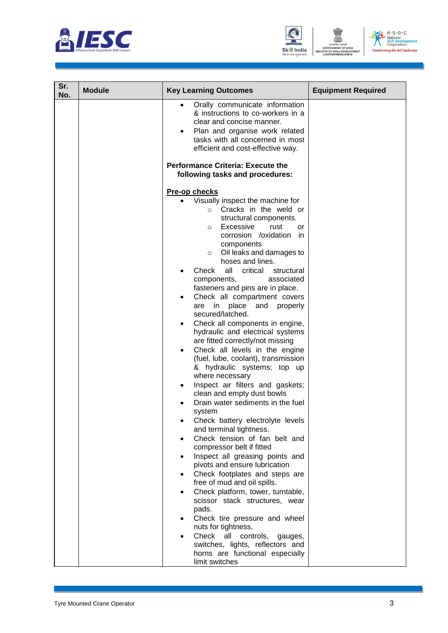





| Sr.<br>No. | <b>Module</b> | <b>Key Learning Outcomes</b>                                                                                                                                                                                                                                                                                                                                                                                                                                                                                                                                                                                                                                                                                                                                                                                                                                                                                                                                                                                                                                                                                                                                                                                                                                                                                                                                         | <b>Equipment Required</b> |
|------------|---------------|----------------------------------------------------------------------------------------------------------------------------------------------------------------------------------------------------------------------------------------------------------------------------------------------------------------------------------------------------------------------------------------------------------------------------------------------------------------------------------------------------------------------------------------------------------------------------------------------------------------------------------------------------------------------------------------------------------------------------------------------------------------------------------------------------------------------------------------------------------------------------------------------------------------------------------------------------------------------------------------------------------------------------------------------------------------------------------------------------------------------------------------------------------------------------------------------------------------------------------------------------------------------------------------------------------------------------------------------------------------------|---------------------------|
|            |               | Orally communicate information<br>& instructions to co-workers in a<br>clear and concise manner.<br>Plan and organise work related<br>tasks with all concerned in most<br>efficient and cost-effective way.                                                                                                                                                                                                                                                                                                                                                                                                                                                                                                                                                                                                                                                                                                                                                                                                                                                                                                                                                                                                                                                                                                                                                          |                           |
|            |               | <b>Performance Criteria: Execute the</b><br>following tasks and procedures:                                                                                                                                                                                                                                                                                                                                                                                                                                                                                                                                                                                                                                                                                                                                                                                                                                                                                                                                                                                                                                                                                                                                                                                                                                                                                          |                           |
|            |               | <b>Pre-op checks</b><br>Visually inspect the machine for<br>Cracks in the weld or<br>structural components.<br>Excessive<br>rust<br>or<br>$\circ$<br>corrosion /oxidation in<br>components<br>Oil leaks and damages to<br>$\circ$<br>hoses and lines.<br>Check<br>all<br>critical<br>structural<br>associated<br>components,<br>fasteners and pins are in place.<br>Check all compartment covers<br>in<br>place<br>and<br>properly<br>are<br>secured/latched.<br>Check all components in engine,<br>hydraulic and electrical systems<br>are fitted correctly/not missing<br>Check all levels in the engine<br>(fuel, lube, coolant), transmission<br>& hydraulic systems; top up<br>where necessary<br>Inspect air filters and gaskets;<br>clean and empty dust bowls<br>Drain water sediments in the fuel<br>system<br>Check battery electrolyte levels<br>and terminal tightness.<br>Check tension of fan belt and<br>compressor belt if fitted<br>Inspect all greasing points and<br>pivots and ensure lubrication<br>Check footplates and steps are<br>$\bullet$<br>free of mud and oil spills.<br>Check platform, tower, turntable,<br>$\bullet$<br>scissor stack structures, wear<br>pads.<br>Check tire pressure and wheel<br>nuts for tightness.<br>Check all<br>controls,<br>gauges,<br>switches, lights, reflectors and<br>horns are functional especially |                           |
|            |               | limit switches                                                                                                                                                                                                                                                                                                                                                                                                                                                                                                                                                                                                                                                                                                                                                                                                                                                                                                                                                                                                                                                                                                                                                                                                                                                                                                                                                       |                           |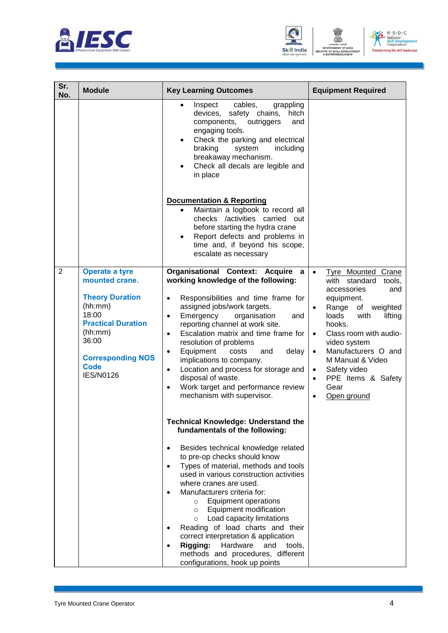





| Sr.<br>No. | <b>Module</b>                                                                                                                                                                                  | <b>Key Learning Outcomes</b>                                                                                                                                                                                                                                                                                                                                                                                                                                                                                                                                                                                                                                                                                                                                                                                                                                                                                                                                                                                                                                                                                                                                                                                                                       | <b>Equipment Required</b>                                                                                                                                                                                                                                                                                                                                                              |
|------------|------------------------------------------------------------------------------------------------------------------------------------------------------------------------------------------------|----------------------------------------------------------------------------------------------------------------------------------------------------------------------------------------------------------------------------------------------------------------------------------------------------------------------------------------------------------------------------------------------------------------------------------------------------------------------------------------------------------------------------------------------------------------------------------------------------------------------------------------------------------------------------------------------------------------------------------------------------------------------------------------------------------------------------------------------------------------------------------------------------------------------------------------------------------------------------------------------------------------------------------------------------------------------------------------------------------------------------------------------------------------------------------------------------------------------------------------------------|----------------------------------------------------------------------------------------------------------------------------------------------------------------------------------------------------------------------------------------------------------------------------------------------------------------------------------------------------------------------------------------|
|            |                                                                                                                                                                                                | cables,<br>grappling<br>Inspect<br>$\bullet$<br>devices, safety chains,<br>hitch<br>components,<br>outriggers<br>and<br>engaging tools.<br>Check the parking and electrical<br>$\bullet$<br>braking<br>system<br>including<br>breakaway mechanism.<br>Check all decals are legible and<br>in place                                                                                                                                                                                                                                                                                                                                                                                                                                                                                                                                                                                                                                                                                                                                                                                                                                                                                                                                                 |                                                                                                                                                                                                                                                                                                                                                                                        |
|            |                                                                                                                                                                                                | <b>Documentation &amp; Reporting</b><br>Maintain a logbook to record all<br>checks /activities carried out<br>before starting the hydra crane<br>Report defects and problems in<br>time and, if beyond his scope,<br>escalate as necessary                                                                                                                                                                                                                                                                                                                                                                                                                                                                                                                                                                                                                                                                                                                                                                                                                                                                                                                                                                                                         |                                                                                                                                                                                                                                                                                                                                                                                        |
| 2          | Operate a tyre<br>mounted crane.<br><b>Theory Duration</b><br>(hh:mm)<br>18:00<br><b>Practical Duration</b><br>(hh:mm)<br>36:00<br><b>Corresponding NOS</b><br><b>Code</b><br><b>IES/N0126</b> | Organisational Context: Acquire a<br>working knowledge of the following:<br>Responsibilities and time frame for<br>$\bullet$<br>assigned jobs/work targets.<br>Emergency<br>organisation<br>and<br>$\bullet$<br>reporting channel at work site.<br>Escalation matrix and time frame for<br>$\bullet$<br>resolution of problems<br>Equipment<br>costs<br>delay<br>and<br>$\bullet$<br>implications to company.<br>Location and process for storage and<br>$\bullet$<br>disposal of waste.<br>Work target and performance review<br>$\bullet$<br>mechanism with supervisor.<br><b>Technical Knowledge: Understand the</b><br>fundamentals of the following:<br>Besides technical knowledge related<br>$\bullet$<br>to pre-op checks should know<br>Types of material, methods and tools<br>$\bullet$<br>used in various construction activities<br>where cranes are used.<br>Manufacturers criteria for:<br><b>Equipment operations</b><br>$\circ$<br><b>Equipment modification</b><br>$\circ$<br>Load capacity limitations<br>$\circ$<br>Reading of load charts and their<br>٠<br>correct interpretation & application<br>Rigging:<br>Hardware<br>and<br>tools,<br>$\bullet$<br>methods and procedures, different<br>configurations, hook up points | <b>Tyre Mounted Crane</b><br>$\bullet$<br>with standard<br>tools,<br>accessories<br>and<br>equipment.<br>Range<br>of weighted<br>$\bullet$<br>loads<br>with<br>lifting<br>hooks.<br>Class room with audio-<br>$\bullet$<br>video system<br>Manufacturers O and<br>$\bullet$<br>M Manual & Video<br>Safety video<br>$\bullet$<br>PPE Items & Safety<br>$\bullet$<br>Gear<br>Open ground |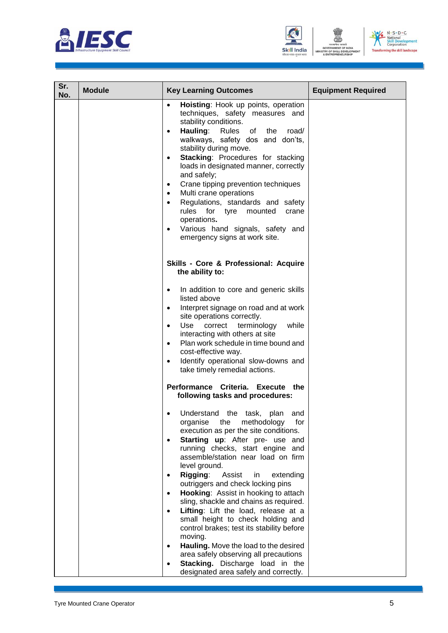





| Sr.<br>No. | <b>Module</b> | <b>Key Learning Outcomes</b>                                                                                                                                                                                                                                                                                                                                                                                                                                                                                                                                                                                                                                                                                                       | <b>Equipment Required</b> |
|------------|---------------|------------------------------------------------------------------------------------------------------------------------------------------------------------------------------------------------------------------------------------------------------------------------------------------------------------------------------------------------------------------------------------------------------------------------------------------------------------------------------------------------------------------------------------------------------------------------------------------------------------------------------------------------------------------------------------------------------------------------------------|---------------------------|
|            |               | Hoisting: Hook up points, operation<br>$\bullet$<br>techniques, safety measures and<br>stability conditions.<br>Hauling: Rules of the<br>road/<br>$\bullet$<br>walkways, safety dos and don'ts,<br>stability during move.<br>Stacking: Procedures for stacking<br>$\bullet$<br>loads in designated manner, correctly<br>and safely;<br>Crane tipping prevention techniques<br>$\bullet$<br>Multi crane operations<br>$\bullet$<br>Regulations, standards and safety<br>$\bullet$<br>rules for tyre<br>mounted<br>crane<br>operations.<br>Various hand signals, safety and<br>$\bullet$<br>emergency signs at work site.                                                                                                            |                           |
|            |               | Skills - Core & Professional: Acquire<br>the ability to:                                                                                                                                                                                                                                                                                                                                                                                                                                                                                                                                                                                                                                                                           |                           |
|            |               | In addition to core and generic skills<br>$\bullet$<br>listed above<br>Interpret signage on road and at work<br>$\bullet$<br>site operations correctly.<br>Use correct terminology<br>while<br>$\bullet$<br>interacting with others at site<br>Plan work schedule in time bound and<br>$\bullet$<br>cost-effective way.<br>Identify operational slow-downs and<br>$\bullet$<br>take timely remedial actions.                                                                                                                                                                                                                                                                                                                       |                           |
|            |               | Performance Criteria. Execute the<br>following tasks and procedures:                                                                                                                                                                                                                                                                                                                                                                                                                                                                                                                                                                                                                                                               |                           |
|            |               | Understand the task, plan and<br>the<br>methodology<br>for<br>organise<br>execution as per the site conditions.<br>Starting up: After pre- use and<br>$\bullet$<br>running checks, start engine and<br>assemble/station near load on firm<br>level ground.<br>Rigging:<br>Assist<br>extending<br>in<br>outriggers and check locking pins<br>Hooking: Assist in hooking to attach<br>sling, shackle and chains as required.<br>Lifting: Lift the load, release at a<br>small height to check holding and<br>control brakes; test its stability before<br>moving.<br>Hauling. Move the load to the desired<br>٠<br>area safely observing all precautions<br>Stacking. Discharge load in the<br>designated area safely and correctly. |                           |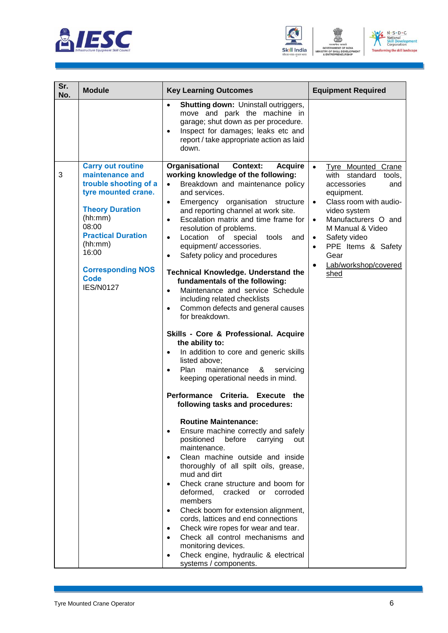





| Sr.<br>No. | <b>Module</b>                                                                                                                                                                                                                                             | <b>Key Learning Outcomes</b>                                                                                                                                                                                                                                                                                                                                                                                                                                                                                                                                                                                                                                                                                                                                                                                                                                                                                                                                                                                                                                                                                                                                                                                                                                                                                                                                                                                                                                                                                                                                                                                                                                     | <b>Equipment Required</b>                                                                                                                                                                                                                                                                                             |
|------------|-----------------------------------------------------------------------------------------------------------------------------------------------------------------------------------------------------------------------------------------------------------|------------------------------------------------------------------------------------------------------------------------------------------------------------------------------------------------------------------------------------------------------------------------------------------------------------------------------------------------------------------------------------------------------------------------------------------------------------------------------------------------------------------------------------------------------------------------------------------------------------------------------------------------------------------------------------------------------------------------------------------------------------------------------------------------------------------------------------------------------------------------------------------------------------------------------------------------------------------------------------------------------------------------------------------------------------------------------------------------------------------------------------------------------------------------------------------------------------------------------------------------------------------------------------------------------------------------------------------------------------------------------------------------------------------------------------------------------------------------------------------------------------------------------------------------------------------------------------------------------------------------------------------------------------------|-----------------------------------------------------------------------------------------------------------------------------------------------------------------------------------------------------------------------------------------------------------------------------------------------------------------------|
|            |                                                                                                                                                                                                                                                           | <b>Shutting down: Uninstall outriggers,</b><br>$\bullet$<br>move and park the machine in<br>garage; shut down as per procedure.<br>Inspect for damages; leaks etc and<br>$\bullet$<br>report / take appropriate action as laid<br>down.                                                                                                                                                                                                                                                                                                                                                                                                                                                                                                                                                                                                                                                                                                                                                                                                                                                                                                                                                                                                                                                                                                                                                                                                                                                                                                                                                                                                                          |                                                                                                                                                                                                                                                                                                                       |
| 3          | <b>Carry out routine</b><br>maintenance and<br>trouble shooting of a<br>tyre mounted crane.<br><b>Theory Duration</b><br>(hh:mm)<br>08:00<br><b>Practical Duration</b><br>(hh:mm)<br>16:00<br><b>Corresponding NOS</b><br><b>Code</b><br><b>IES/N0127</b> | Organisational<br><b>Context:</b><br><b>Acquire</b><br>working knowledge of the following:<br>Breakdown and maintenance policy<br>and services.<br>Emergency organisation structure<br>$\bullet$<br>and reporting channel at work site.<br>Escalation matrix and time frame for<br>$\bullet$<br>resolution of problems.<br>Location<br>of special tools<br>and<br>$\bullet$<br>equipment/ accessories.<br>Safety policy and procedures<br>$\bullet$<br><b>Technical Knowledge. Understand the</b><br>fundamentals of the following:<br>Maintenance and service Schedule<br>$\bullet$<br>including related checklists<br>Common defects and general causes<br>$\bullet$<br>for breakdown.<br>Skills - Core & Professional. Acquire<br>the ability to:<br>In addition to core and generic skills<br>$\bullet$<br>listed above;<br>Plan<br>maintenance<br>&<br>servicing<br>$\bullet$<br>keeping operational needs in mind.<br>Performance Criteria.<br>Execute the<br>following tasks and procedures:<br><b>Routine Maintenance:</b><br>Ensure machine correctly and safely<br>$\bullet$<br>positioned<br>before<br>carrying<br>out<br>maintenance.<br>Clean machine outside and inside<br>$\bullet$<br>thoroughly of all spilt oils, grease,<br>mud and dirt<br>Check crane structure and boom for<br>$\bullet$<br>deformed,<br>cracked<br>corroded<br>or<br>members<br>Check boom for extension alignment,<br>$\bullet$<br>cords, lattices and end connections<br>Check wire ropes for wear and tear.<br>$\bullet$<br>Check all control mechanisms and<br>$\bullet$<br>monitoring devices.<br>Check engine, hydraulic & electrical<br>٠<br>systems / components. | $\bullet$<br>Tyre Mounted Crane<br>with standard<br>tools,<br>accessories<br>and<br>equipment.<br>Class room with audio-<br>$\bullet$<br>video system<br>Manufacturers O and<br>$\bullet$<br>M Manual & Video<br>Safety video<br>$\bullet$<br>PPE Items & Safety<br>$\bullet$<br>Gear<br>Lab/workshop/covered<br>shed |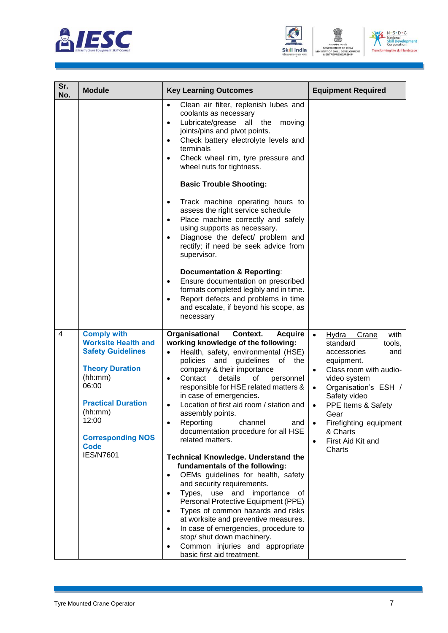





| Sr.<br>No. | <b>Module</b>                                                                                                                                                                                                                              | <b>Key Learning Outcomes</b>                                                                                                                                                                                                                                                                                                                                                                                                                                                                                                                                                                                                                                                                                                                                                                                                                                                                                                                                                                                                                 | <b>Equipment Required</b>                                                                                                                                                                                                                                                                                                 |
|------------|--------------------------------------------------------------------------------------------------------------------------------------------------------------------------------------------------------------------------------------------|----------------------------------------------------------------------------------------------------------------------------------------------------------------------------------------------------------------------------------------------------------------------------------------------------------------------------------------------------------------------------------------------------------------------------------------------------------------------------------------------------------------------------------------------------------------------------------------------------------------------------------------------------------------------------------------------------------------------------------------------------------------------------------------------------------------------------------------------------------------------------------------------------------------------------------------------------------------------------------------------------------------------------------------------|---------------------------------------------------------------------------------------------------------------------------------------------------------------------------------------------------------------------------------------------------------------------------------------------------------------------------|
|            |                                                                                                                                                                                                                                            | Clean air filter, replenish lubes and<br>$\bullet$<br>coolants as necessary<br>Lubricate/grease all the<br>moving<br>$\bullet$<br>joints/pins and pivot points.<br>Check battery electrolyte levels and<br>$\bullet$<br>terminals<br>Check wheel rim, tyre pressure and<br>$\bullet$<br>wheel nuts for tightness.                                                                                                                                                                                                                                                                                                                                                                                                                                                                                                                                                                                                                                                                                                                            |                                                                                                                                                                                                                                                                                                                           |
|            |                                                                                                                                                                                                                                            | <b>Basic Trouble Shooting:</b><br>Track machine operating hours to<br>$\bullet$<br>assess the right service schedule<br>Place machine correctly and safely<br>$\bullet$<br>using supports as necessary.<br>Diagnose the defect/ problem and<br>$\bullet$<br>rectify; if need be seek advice from<br>supervisor.<br><b>Documentation &amp; Reporting:</b><br>Ensure documentation on prescribed<br>$\bullet$<br>formats completed legibly and in time.<br>Report defects and problems in time<br>$\bullet$<br>and escalate, if beyond his scope, as<br>necessary                                                                                                                                                                                                                                                                                                                                                                                                                                                                              |                                                                                                                                                                                                                                                                                                                           |
| 4          | <b>Comply with</b><br><b>Worksite Health and</b><br><b>Safety Guidelines</b><br><b>Theory Duration</b><br>(hh:mm)<br>06:00<br><b>Practical Duration</b><br>(hh:mm)<br>12:00<br><b>Corresponding NOS</b><br><b>Code</b><br><b>IES/N7601</b> | Organisational<br>Context.<br><b>Acquire</b><br>working knowledge of the following:<br>Health, safety, environmental (HSE)<br>٠<br>policies<br>and<br>guidelines<br>of<br>the<br>company & their importance<br>Contact<br>details<br>οf<br>personnel<br>$\bullet$<br>responsible for HSE related matters &<br>in case of emergencies.<br>Location of first aid room / station and<br>$\bullet$<br>assembly points.<br>Reporting<br>channel<br>and<br>$\bullet$<br>documentation procedure for all HSE<br>related matters.<br><b>Technical Knowledge. Understand the</b><br>fundamentals of the following:<br>OEMs guidelines for health, safety<br>$\bullet$<br>and security requirements.<br>Types, use and importance<br>$\bullet$<br>οf<br>Personal Protective Equipment (PPE)<br>Types of common hazards and risks<br>$\bullet$<br>at worksite and preventive measures.<br>In case of emergencies, procedure to<br>$\bullet$<br>stop/ shut down machinery.<br>Common injuries and appropriate<br>$\bullet$<br>basic first aid treatment. | with<br>Hydra<br>Crane<br>$\bullet$<br>tools,<br>standard<br>accessories<br>and<br>equipment.<br>Class room with audio-<br>$\bullet$<br>video system<br>Organisation's ESH /<br>$\bullet$<br>Safety video<br>PPE Items & Safety<br>$\bullet$<br>Gear<br>Firefighting equipment<br>& Charts<br>First Aid Kit and<br>Charts |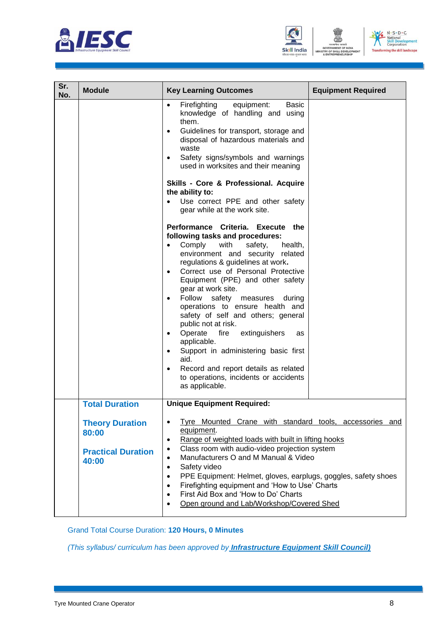





| Sr.<br>No. | <b>Module</b>                                                         | <b>Key Learning Outcomes</b>                                                                                                                                                                                                                                                                                                                                                                                                                                                                                                                                                                                                                                                                                                                                                                                                                                                                                                                                                                                                                                                                                                                   | <b>Equipment Required</b> |
|------------|-----------------------------------------------------------------------|------------------------------------------------------------------------------------------------------------------------------------------------------------------------------------------------------------------------------------------------------------------------------------------------------------------------------------------------------------------------------------------------------------------------------------------------------------------------------------------------------------------------------------------------------------------------------------------------------------------------------------------------------------------------------------------------------------------------------------------------------------------------------------------------------------------------------------------------------------------------------------------------------------------------------------------------------------------------------------------------------------------------------------------------------------------------------------------------------------------------------------------------|---------------------------|
|            |                                                                       | Firefighting<br>equipment:<br><b>Basic</b><br>$\bullet$<br>knowledge of handling and using<br>them.<br>Guidelines for transport, storage and<br>$\bullet$<br>disposal of hazardous materials and<br>waste<br>Safety signs/symbols and warnings<br>$\bullet$<br>used in worksites and their meaning<br>Skills - Core & Professional. Acquire<br>the ability to:<br>Use correct PPE and other safety<br>$\bullet$<br>gear while at the work site.<br>Performance Criteria. Execute the<br>following tasks and procedures:<br>Comply with<br>safety,<br>health,<br>$\bullet$<br>environment and security related<br>regulations & guidelines at work.<br>Correct use of Personal Protective<br>$\bullet$<br>Equipment (PPE) and other safety<br>gear at work site.<br>Follow safety measures during<br>$\bullet$<br>operations to ensure health and<br>safety of self and others; general<br>public not at risk.<br>Operate<br>fire<br>extinguishers<br>as<br>$\bullet$<br>applicable.<br>Support in administering basic first<br>$\bullet$<br>aid.<br>Record and report details as related<br>$\bullet$<br>to operations, incidents or accidents |                           |
|            |                                                                       | as applicable.                                                                                                                                                                                                                                                                                                                                                                                                                                                                                                                                                                                                                                                                                                                                                                                                                                                                                                                                                                                                                                                                                                                                 |                           |
|            | <b>Total Duration</b>                                                 | <b>Unique Equipment Required:</b>                                                                                                                                                                                                                                                                                                                                                                                                                                                                                                                                                                                                                                                                                                                                                                                                                                                                                                                                                                                                                                                                                                              |                           |
|            | <b>Theory Duration</b><br>80:00<br><b>Practical Duration</b><br>40:00 | Tyre Mounted Crane with standard tools, accessories and<br>$\bullet$<br>equipment.<br>Range of weighted loads with built in lifting hooks<br>$\bullet$<br>Class room with audio-video projection system<br>٠<br>Manufacturers O and M Manual & Video<br>$\bullet$<br>Safety video<br>$\bullet$<br>PPE Equipment: Helmet, gloves, earplugs, goggles, safety shoes<br>$\bullet$<br>Firefighting equipment and 'How to Use' Charts<br>$\bullet$<br>First Aid Box and 'How to Do' Charts<br>$\bullet$<br>Open ground and Lab/Workshop/Covered Shed                                                                                                                                                                                                                                                                                                                                                                                                                                                                                                                                                                                                 |                           |

Grand Total Course Duration: **120 Hours, 0 Minutes**

*(This syllabus/ curriculum has been approved by Infrastructure Equipment Skill Council)*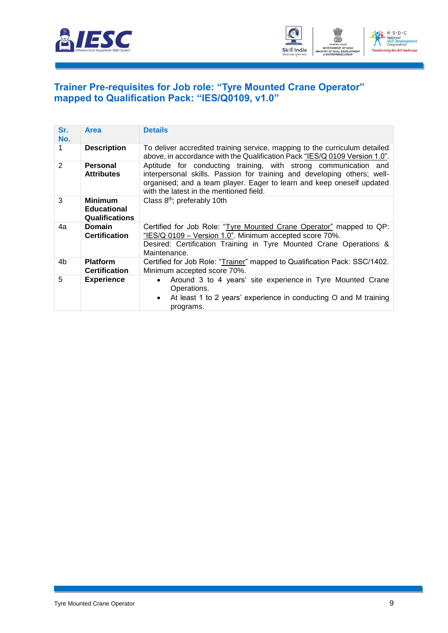



#### <span id="page-11-0"></span>**[Trainer Pre-requisites for Job role: "Tyre](#page-2-1) Mounted Crane Operator" [mapped to Qualification Pack: "IES/Q0109, v1.0"](#page-2-1)**

| Sr.<br>No. | <b>Area</b>                                                   | <b>Details</b>                                                                                                                                                                                                                                                 |  |
|------------|---------------------------------------------------------------|----------------------------------------------------------------------------------------------------------------------------------------------------------------------------------------------------------------------------------------------------------------|--|
| 1          | <b>Description</b>                                            | To deliver accredited training service, mapping to the curriculum detailed<br>above, in accordance with the Qualification Pack "IES/Q 0109 Version 1.0".                                                                                                       |  |
| 2          | Personal<br><b>Attributes</b>                                 | Aptitude for conducting training, with strong communication and<br>interpersonal skills. Passion for training and developing others; well-<br>organised; and a team player. Eager to learn and keep oneself updated<br>with the latest in the mentioned field. |  |
| 3          | <b>Minimum</b><br><b>Educational</b><br><b>Qualifications</b> | Class 8 <sup>th</sup> ; preferably 10th                                                                                                                                                                                                                        |  |
| 4a         | <b>Domain</b><br><b>Certification</b>                         | Certified for Job Role: "Tyre Mounted Crane Operator" mapped to QP:<br>"IES/Q 0109 - Version 1.0". Minimum accepted score 70%.<br>Desired: Certification Training in Tyre Mounted Crane Operations &<br>Maintenance.                                           |  |
| 4b         | <b>Platform</b><br><b>Certification</b>                       | Certified for Job Role: "Trainer" mapped to Qualification Pack: SSC/1402.<br>Minimum accepted score 70%.                                                                                                                                                       |  |
| 5          | <b>Experience</b>                                             | Around 3 to 4 years' site experience in Tyre Mounted Crane<br>$\bullet$<br>Operations.<br>At least 1 to 2 years' experience in conducting O and M training<br>$\bullet$<br>programs.                                                                           |  |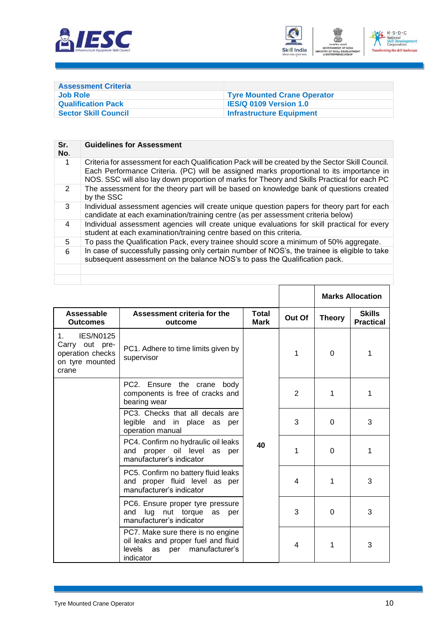



<span id="page-12-0"></span>

| <b>Assessment Criteria</b>  |                                    |
|-----------------------------|------------------------------------|
| <b>Job Role</b>             | <b>Tyre Mounted Crane Operator</b> |
| <b>Qualification Pack</b>   | <b>IES/Q 0109 Version 1.0</b>      |
| <b>Sector Skill Council</b> | <b>Infrastructure Equipment</b>    |

| Sr.<br>No. | <b>Guidelines for Assessment</b>                                                                                                                                                                                                                                                            |
|------------|---------------------------------------------------------------------------------------------------------------------------------------------------------------------------------------------------------------------------------------------------------------------------------------------|
| 1          | Criteria for assessment for each Qualification Pack will be created by the Sector Skill Council.<br>Each Performance Criteria. (PC) will be assigned marks proportional to its importance in<br>NOS. SSC will also lay down proportion of marks for Theory and Skills Practical for each PC |
| 2          | The assessment for the theory part will be based on knowledge bank of questions created<br>by the SSC                                                                                                                                                                                       |
| 3          | Individual assessment agencies will create unique question papers for theory part for each<br>candidate at each examination/training centre (as per assessment criteria below)                                                                                                              |
| 4          | Individual assessment agencies will create unique evaluations for skill practical for every<br>student at each examination/training centre based on this criteria.                                                                                                                          |
| 5          | To pass the Qualification Pack, every trainee should score a minimum of 50% aggregate.                                                                                                                                                                                                      |
| 6          | In case of successfully passing only certain number of NOS's, the trainee is eligible to take<br>subsequent assessment on the balance NOS's to pass the Qualification pack.                                                                                                                 |
|            |                                                                                                                                                                                                                                                                                             |

|                                                                                                   |                                                                                                                                |                             |        |               | <b>Marks Allocation</b>           |
|---------------------------------------------------------------------------------------------------|--------------------------------------------------------------------------------------------------------------------------------|-----------------------------|--------|---------------|-----------------------------------|
| Assessable<br><b>Outcomes</b>                                                                     | Assessment criteria for the<br>outcome                                                                                         | <b>Total</b><br><b>Mark</b> | Out Of | <b>Theory</b> | <b>Skills</b><br><b>Practical</b> |
| <b>IES/N0125</b><br>$1_{\cdot}$<br>Carry out pre-<br>operation checks<br>on tyre mounted<br>crane | PC1. Adhere to time limits given by<br>supervisor                                                                              |                             | 1      | $\Omega$      | 1                                 |
|                                                                                                   | PC2. Ensure the crane<br>body<br>components is free of cracks and<br>bearing wear                                              | 2                           | 1      | 1             |                                   |
|                                                                                                   | PC3. Checks that all decals are<br>legible and in place as<br>per<br>operation manual                                          | 40                          | 3      | $\Omega$      | 3                                 |
|                                                                                                   | PC4. Confirm no hydraulic oil leaks<br>and proper oil level<br>as<br>per<br>manufacturer's indicator                           |                             | 1      | $\Omega$      | 1                                 |
|                                                                                                   | PC5. Confirm no battery fluid leaks<br>and proper fluid level as per<br>manufacturer's indicator                               |                             | 4      | 1             | 3                                 |
|                                                                                                   | PC6. Ensure proper tyre pressure<br>and lug nut torque<br>as<br>per<br>manufacturer's indicator                                |                             | 3      | $\Omega$      | 3                                 |
|                                                                                                   | PC7. Make sure there is no engine<br>oil leaks and proper fuel and fluid<br>levels<br>manufacturer's<br>as<br>per<br>indicator |                             | 4      | 1             | 3                                 |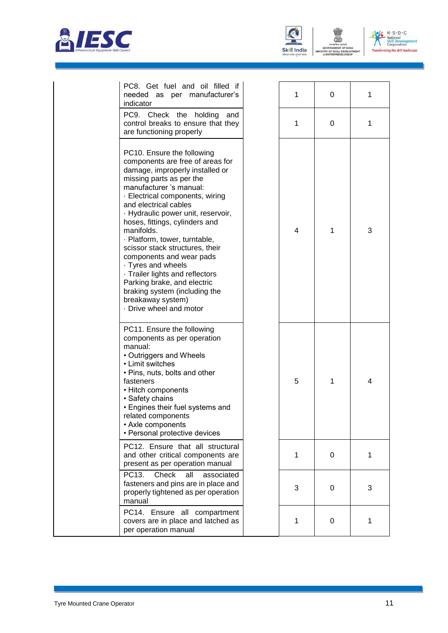



STRY OF S

**CILL DEVELOR** ENT

N. S. D. C.<br>National<br>Skill Development<br>Corporation **Transfr** ning the skill landscape

| PC8. Get fuel and oil filled if<br>needed as per manufacturer's<br>indicator                                                                                                                                                                                                                                                                                                                                                                                                                                                                                                      | 1 | 0 | 1 |
|-----------------------------------------------------------------------------------------------------------------------------------------------------------------------------------------------------------------------------------------------------------------------------------------------------------------------------------------------------------------------------------------------------------------------------------------------------------------------------------------------------------------------------------------------------------------------------------|---|---|---|
| PC9. Check the holding<br>and<br>control breaks to ensure that they<br>are functioning properly                                                                                                                                                                                                                                                                                                                                                                                                                                                                                   | 1 | 0 | 1 |
| PC10. Ensure the following<br>components are free of areas for<br>damage, improperly installed or<br>missing parts as per the<br>manufacturer 's manual:<br>- Electrical components, wiring<br>and electrical cables<br>· Hydraulic power unit, reservoir,<br>hoses, fittings, cylinders and<br>manifolds.<br>· Platform, tower, turntable,<br>scissor stack structures, their<br>components and wear pads<br>· Tyres and wheels<br>- Trailer lights and reflectors<br>Parking brake, and electric<br>braking system (including the<br>breakaway system)<br>Drive wheel and motor | 4 | 1 | 3 |
| PC11. Ensure the following<br>components as per operation<br>manual:<br>• Outriggers and Wheels<br>• Limit switches<br>• Pins, nuts, bolts and other<br>fasteners<br>• Hitch components<br>• Safety chains<br>• Engines their fuel systems and<br>related components<br>• Axle components<br>• Personal protective devices                                                                                                                                                                                                                                                        | 5 | 1 | 4 |
| PC12. Ensure that all structural<br>and other critical components are<br>present as per operation manual                                                                                                                                                                                                                                                                                                                                                                                                                                                                          | 1 | 0 | 1 |
| PC13.<br>Check<br>all<br>associated<br>fasteners and pins are in place and<br>properly tightened as per operation<br>manual                                                                                                                                                                                                                                                                                                                                                                                                                                                       | 3 | 0 | 3 |
| PC14. Ensure all compartment<br>covers are in place and latched as<br>per operation manual                                                                                                                                                                                                                                                                                                                                                                                                                                                                                        | 1 | 0 | 1 |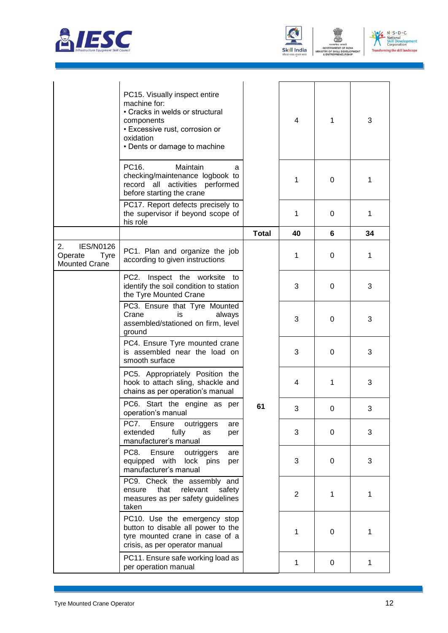





ENT

|                                                                          | PC15. Visually inspect entire<br>machine for:<br>• Cracks in welds or structural<br>components<br>• Excessive rust, corrosion or<br>oxidation<br>• Dents or damage to machine |              | 4  | 1 | 3  |
|--------------------------------------------------------------------------|-------------------------------------------------------------------------------------------------------------------------------------------------------------------------------|--------------|----|---|----|
|                                                                          | PC16.<br>Maintain<br>a<br>checking/maintenance logbook to<br>record all activities performed<br>before starting the crane                                                     |              | 1  | 0 | 1  |
|                                                                          | PC17. Report defects precisely to<br>the supervisor if beyond scope of<br>his role                                                                                            |              | 1  | 0 | 1  |
|                                                                          |                                                                                                                                                                               | <b>Total</b> | 40 | 6 | 34 |
| <b>IES/N0126</b><br>2.<br>Operate<br><b>Tyre</b><br><b>Mounted Crane</b> | PC1. Plan and organize the job<br>according to given instructions                                                                                                             |              | 1  | 0 | 1  |
|                                                                          | PC2.<br>Inspect the worksite<br>to<br>identify the soil condition to station<br>the Tyre Mounted Crane                                                                        |              | 3  | 0 | 3  |
|                                                                          | PC3. Ensure that Tyre Mounted<br>Crane<br>is<br>always<br>assembled/stationed on firm, level<br>ground                                                                        |              | 3  | 0 | 3  |
|                                                                          | PC4. Ensure Tyre mounted crane<br>is assembled near the load on<br>smooth surface                                                                                             |              | 3  | 0 | 3  |
|                                                                          | PC5. Appropriately Position the<br>hook to attach sling, shackle and<br>chains as per operation's manual                                                                      |              | 4  | 1 | 3  |
|                                                                          | PC6. Start the engine as per<br>operation's manual                                                                                                                            | 61           | 3  | 0 | 3  |
|                                                                          | PC7.<br>Ensure<br>outriggers<br>are<br>extended<br>fully<br>as<br>per<br>manufacturer's manual                                                                                |              | 3  | 0 | 3  |
|                                                                          | PC8.<br>Ensure<br>outriggers<br>are<br>equipped with<br>lock pins<br>per<br>manufacturer's manual                                                                             |              | 3  | 0 | 3  |
|                                                                          | PC9. Check the assembly and<br>relevant<br>that<br>safety<br>ensure<br>measures as per safety guidelines<br>taken                                                             |              | 2  | 1 | 1  |
|                                                                          | PC10. Use the emergency stop<br>button to disable all power to the<br>tyre mounted crane in case of a<br>crisis, as per operator manual                                       |              | 1  | 0 | 1  |
|                                                                          | PC11. Ensure safe working load as<br>per operation manual                                                                                                                     |              | 1  | 0 | 1  |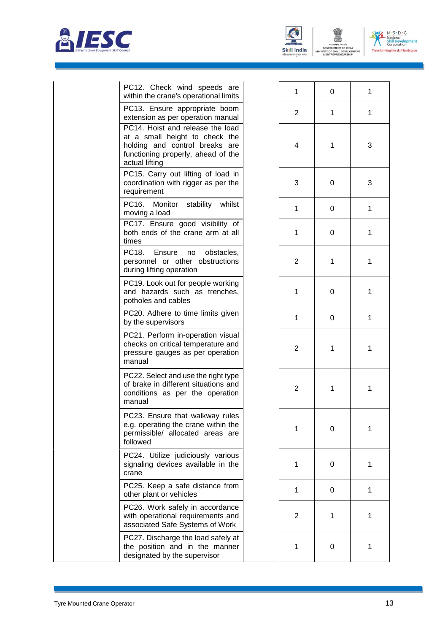



STRY OF S

**CILL DEVELOP** ENT

N. S. D. C.<br>National<br>Skill Development<br>Corporation **Transfr** ning the skill landscape

| PC12. Check wind speeds are<br>within the crane's operational limits                                                                                         | 1              | 0 | 1            |
|--------------------------------------------------------------------------------------------------------------------------------------------------------------|----------------|---|--------------|
| PC13. Ensure appropriate boom<br>extension as per operation manual                                                                                           | $\overline{2}$ | 1 | 1            |
| PC14. Hoist and release the load<br>at a small height to check the<br>holding and control breaks are<br>functioning properly, ahead of the<br>actual lifting | 4              | 1 | 3            |
| PC15. Carry out lifting of load in<br>coordination with rigger as per the<br>requirement                                                                     | 3              | 0 | 3            |
| PC16. Monitor<br>whilst<br>stability<br>moving a load                                                                                                        | $\mathbf{1}$   | 0 | $\mathbf{1}$ |
| PC17. Ensure good visibility of<br>both ends of the crane arm at all<br>times                                                                                | 1              | 0 | 1            |
| PC18.<br>Ensure<br>obstacles,<br>no<br>personnel or other obstructions<br>during lifting operation                                                           | $\overline{2}$ | 1 | 1            |
| PC19. Look out for people working<br>and hazards such as trenches,<br>potholes and cables                                                                    | $\mathbf{1}$   | 0 | 1            |
| PC20. Adhere to time limits given<br>by the supervisors                                                                                                      | $\mathbf{1}$   | 0 | $\mathbf{1}$ |
| PC21. Perform in-operation visual<br>checks on critical temperature and<br>pressure gauges as per operation<br>manual                                        | $\overline{2}$ | 1 | 1            |
| PC22. Select and use the right type<br>of brake in different situations and<br>conditions as per the operation<br>manual                                     | $\overline{2}$ | 1 | 1            |
| PC23. Ensure that walkway rules<br>e.g. operating the crane within the<br>permissible/ allocated areas are<br>followed                                       | 1              | 0 | 1            |
| PC24. Utilize judiciously various<br>signaling devices available in the<br>crane                                                                             | 1              | 0 | 1            |
| PC25. Keep a safe distance from<br>other plant or vehicles                                                                                                   | 1              | 0 | 1            |
| PC26. Work safely in accordance<br>with operational requirements and<br>associated Safe Systems of Work                                                      | $\overline{2}$ | 1 | 1            |
| PC27. Discharge the load safely at<br>the position and in the manner<br>designated by the supervisor                                                         | 1              | 0 | 1            |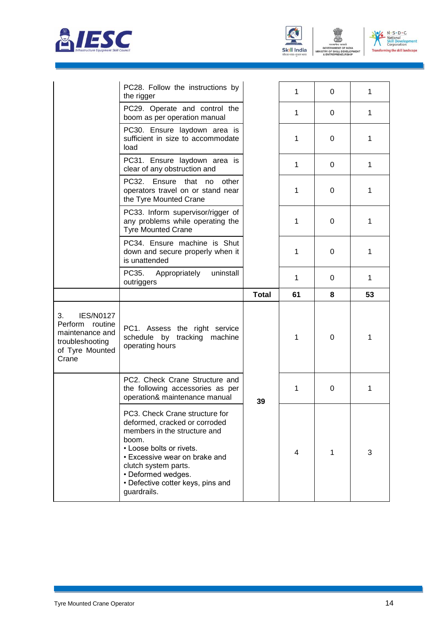





ENT

|                                                                                                                | PC28. Follow the instructions by                                                                      |              | $\mathbf 1$ | 0 | 1  |
|----------------------------------------------------------------------------------------------------------------|-------------------------------------------------------------------------------------------------------|--------------|-------------|---|----|
|                                                                                                                | the rigger<br>PC29. Operate and control the                                                           |              | 1           | 0 | 1  |
|                                                                                                                | boom as per operation manual                                                                          |              |             |   |    |
|                                                                                                                | PC30. Ensure laydown area is<br>sufficient in size to accommodate<br>load                             |              | 1           | 0 | 1  |
|                                                                                                                | PC31. Ensure laydown area is<br>clear of any obstruction and                                          |              | 1           | 0 | 1  |
|                                                                                                                | PC32.<br>Ensure<br>that<br>no<br>other<br>operators travel on or stand near<br>the Tyre Mounted Crane |              | 1           | 0 | 1  |
|                                                                                                                | PC33. Inform supervisor/rigger of<br>any problems while operating the<br><b>Tyre Mounted Crane</b>    |              | 1           | 0 | 1  |
|                                                                                                                | PC34. Ensure machine is Shut<br>down and secure properly when it<br>is unattended                     |              | 1           | 0 | 1  |
|                                                                                                                | PC35.<br>Appropriately<br>uninstall<br>outriggers                                                     |              | 1           | 0 | 1  |
|                                                                                                                |                                                                                                       |              |             |   |    |
|                                                                                                                |                                                                                                       | <b>Total</b> | 61          | 8 | 53 |
| 3.<br><b>IES/N0127</b><br>Perform<br>routine<br>maintenance and<br>troubleshooting<br>of Tyre Mounted<br>Crane | PC1. Assess the right service<br>schedule by tracking machine<br>operating hours                      |              | 1           | 0 | 1  |
|                                                                                                                | PC2. Check Crane Structure and<br>the following accessories as per<br>operation& maintenance manual   | 39           | 1           | 0 | 1  |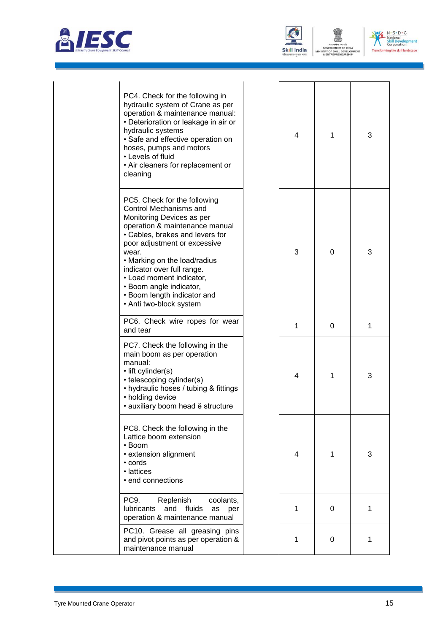





ENT

| PC4. Check for the following in<br>hydraulic system of Crane as per<br>operation & maintenance manual:<br>• Deterioration or leakage in air or<br>hydraulic systems<br>• Safe and effective operation on<br>hoses, pumps and motors<br>• Levels of fluid<br>• Air cleaners for replacement or<br>cleaning                                                                               | $\overline{4}$ | 1        | 3 |
|-----------------------------------------------------------------------------------------------------------------------------------------------------------------------------------------------------------------------------------------------------------------------------------------------------------------------------------------------------------------------------------------|----------------|----------|---|
| PC5. Check for the following<br><b>Control Mechanisms and</b><br>Monitoring Devices as per<br>operation & maintenance manual<br>• Cables, brakes and levers for<br>poor adjustment or excessive<br>wear.<br>• Marking on the load/radius<br>indicator over full range.<br>• Load moment indicator,<br>• Boom angle indicator,<br>• Boom length indicator and<br>• Anti two-block system | 3              | $\Omega$ | 3 |
| PC6. Check wire ropes for wear<br>and tear                                                                                                                                                                                                                                                                                                                                              | $\mathbf{1}$   | 0        | 1 |
| PC7. Check the following in the<br>main boom as per operation<br>manual:<br>• lift cylinder(s)<br>• telescoping cylinder(s)<br>• hydraulic hoses / tubing & fittings<br>• holding device<br>• auxiliary boom head ë structure                                                                                                                                                           | $\overline{4}$ | 1        | 3 |
| PC8. Check the following in the<br>Lattice boom extension<br>• Boom<br>• extension alignment<br>• cords<br>• lattices<br>• end connections                                                                                                                                                                                                                                              | 4              | 1        | 3 |
| PC9.<br>Replenish<br>coolants,<br>lubricants<br>and<br>fluids<br>as<br>per<br>operation & maintenance manual                                                                                                                                                                                                                                                                            | 1              | 0        | 1 |
| PC10. Grease all greasing pins<br>and pivot points as per operation &<br>maintenance manual                                                                                                                                                                                                                                                                                             | $\mathbf 1$    | 0        | 1 |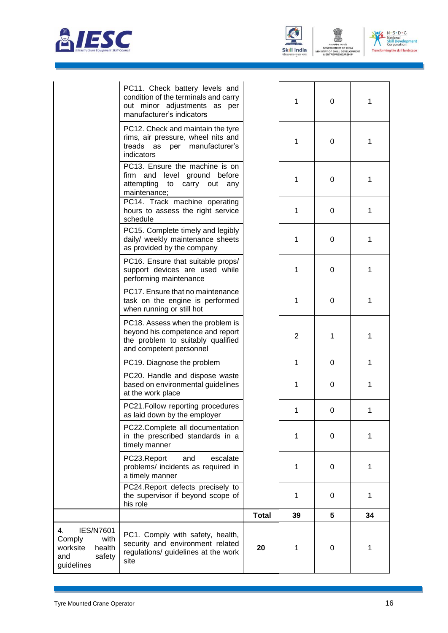



TRY OF

ENT

N - S - D - C<br>- National<br>Skill Development<br>Corporation  $V$ **Transfr** ning the skill landscape

|                                                                                               | PC11. Check battery levels and<br>condition of the terminals and carry<br>out minor adjustments as per<br>manufacturer's indicators  |              | 1              | 0           | 1            |
|-----------------------------------------------------------------------------------------------|--------------------------------------------------------------------------------------------------------------------------------------|--------------|----------------|-------------|--------------|
|                                                                                               | PC12. Check and maintain the tyre<br>rims, air pressure, wheel nits and<br>treads as<br>per<br>manufacturer's<br>indicators          |              | 1              | 0           | 1            |
|                                                                                               | PC13. Ensure the machine is on<br>firm and level ground before<br>attempting to carry out any<br>maintenance;                        |              | 1              | 0           | 1            |
|                                                                                               | PC14. Track machine operating<br>hours to assess the right service<br>schedule                                                       |              | $\mathbf{1}$   | 0           | $\mathbf{1}$ |
|                                                                                               | PC15. Complete timely and legibly<br>daily/ weekly maintenance sheets<br>as provided by the company                                  |              | 1              | 0           | 1            |
|                                                                                               | PC16. Ensure that suitable props/<br>support devices are used while<br>performing maintenance                                        |              | 1              | 0           | 1            |
|                                                                                               | PC17. Ensure that no maintenance<br>task on the engine is performed<br>when running or still hot                                     |              | $\mathbf{1}$   | 0           | 1            |
|                                                                                               | PC18. Assess when the problem is<br>beyond his competence and report<br>the problem to suitably qualified<br>and competent personnel |              | $\overline{2}$ | 1           | 1            |
|                                                                                               | PC19. Diagnose the problem                                                                                                           |              | 1              | 0           | $\mathbf{1}$ |
|                                                                                               | PC20. Handle and dispose waste<br>based on environmental guidelines<br>at the work place                                             |              | 1              | 0           | 1            |
|                                                                                               | PC21.Follow reporting procedures<br>as laid down by the employer                                                                     |              | 1              | $\mathbf 0$ | 1            |
|                                                                                               | PC22.Complete all documentation<br>in the prescribed standards in a<br>timely manner                                                 |              | 1              | 0           | 1            |
|                                                                                               | PC23.Report<br>and<br>escalate<br>problems/ incidents as required in<br>a timely manner                                              |              | 1              | 0           | $\mathbf{1}$ |
|                                                                                               | PC24.Report defects precisely to<br>the supervisor if beyond scope of<br>his role                                                    |              | 1              | 0           | 1            |
|                                                                                               |                                                                                                                                      | <b>Total</b> | 39             | 5           | 34           |
| <b>IES/N7601</b><br>4.<br>Comply<br>with<br>health<br>worksite<br>and<br>safety<br>guidelines | PC1. Comply with safety, health,<br>security and environment related<br>regulations/ guidelines at the work<br>site                  | 20           | 1              | 0           | 1            |
|                                                                                               |                                                                                                                                      |              |                |             |              |